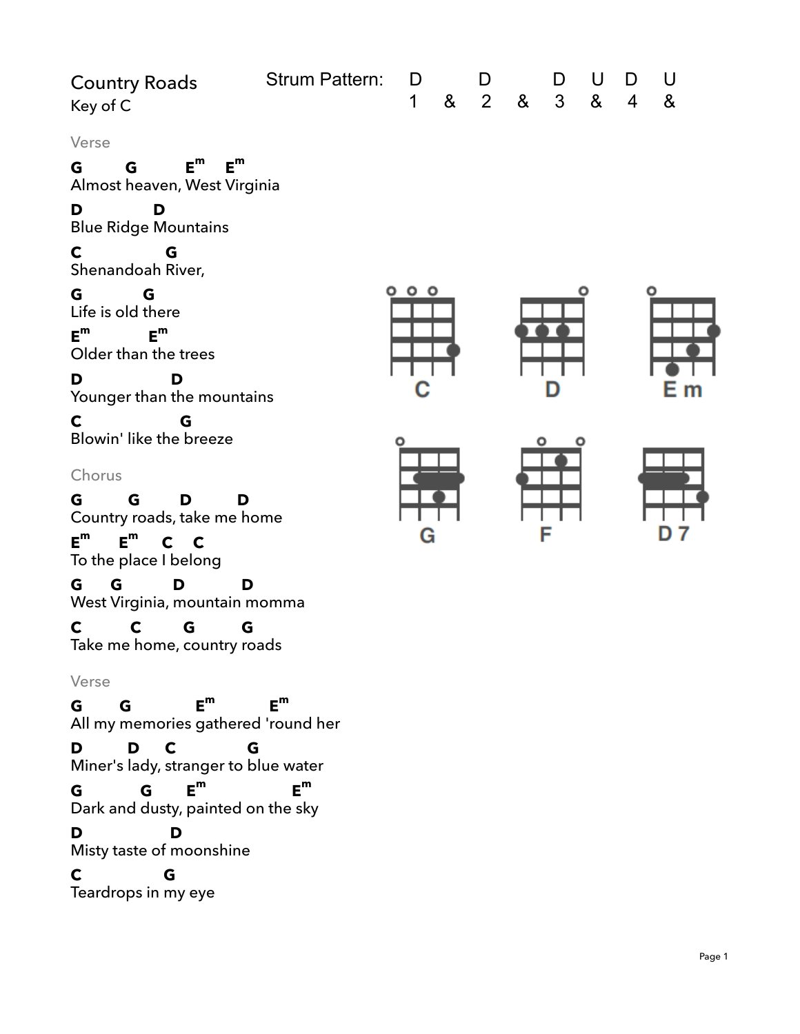| <b>Country Roads</b><br>Key of C                                                                                                                                                                                                                                                   | Strum Pattern: | D<br>$\mathbf 1$ | 8 <sub>x</sub> | D<br>$\overline{2}$ | $\boldsymbol{\alpha}$ | D<br>$\mathfrak{S}$ | U<br>& | D<br>$\overline{4}$ | U<br>& |
|------------------------------------------------------------------------------------------------------------------------------------------------------------------------------------------------------------------------------------------------------------------------------------|----------------|------------------|----------------|---------------------|-----------------------|---------------------|--------|---------------------|--------|
| Verse<br>$E^m$<br>$E^m$<br>G.<br>G<br>Almost heaven, West Virginia<br>D<br>D                                                                                                                                                                                                       |                |                  |                |                     |                       |                     |        |                     |        |
| <b>Blue Ridge Mountains</b><br>C<br>G                                                                                                                                                                                                                                              |                |                  |                |                     |                       |                     |        |                     |        |
| Shenandoah River,<br>G<br>G<br>Life is old there<br>$E^m$<br>$E^m$<br>Older than the trees<br>D<br>D<br>Younger than the mountains                                                                                                                                                 |                | 000<br>C,        |                |                     |                       |                     |        |                     | Εm     |
| $\mathbf C$<br>G<br>Blowin' like the breeze<br>Chorus<br>G<br>G<br>D<br>D<br>Country roads, take me home<br>$E^m$<br>$E^m$<br>$C$ $C$<br>To the place I belong<br>G<br>G<br>D<br>D<br>West Virginia, mountain momma<br>C<br>$\mathbf c$<br>G<br>G<br>Take me home, country roads   |                | Ο<br>G           |                |                     |                       | F                   | ٥      |                     |        |
| Verse<br>$E^m$<br>G<br>G<br>All my memories gathered 'round her<br>D <sub>a</sub><br>G<br>D<br>$\mathbf C$<br>Miner's lady, stranger to blue water<br>$E^m$<br>G<br>G<br>Dark and dusty, painted on the sky<br>D<br>D<br>Misty taste of moonshine<br>G<br>C<br>Teardrops in my eye | $E^m$<br>$E^m$ |                  |                |                     |                       |                     |        |                     |        |